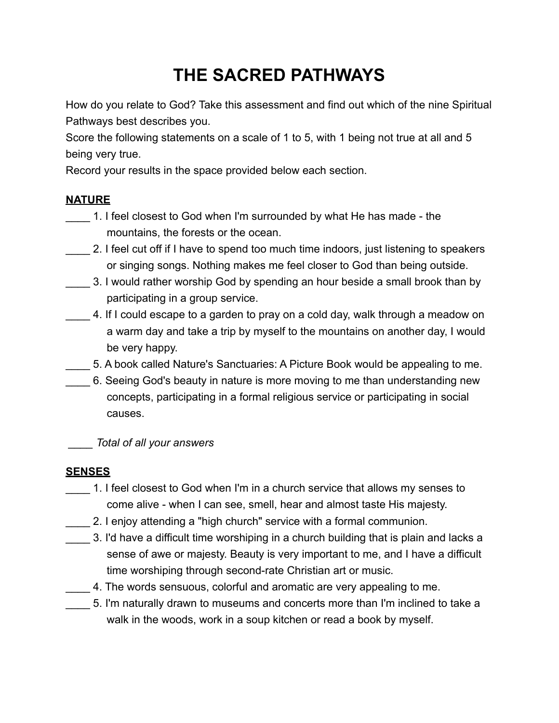# **THE SACRED PATHWAYS**

How do you relate to God? Take this assessment and find out which of the nine Spiritual Pathways best describes you.

Score the following statements on a scale of 1 to 5, with 1 being not true at all and 5 being very true.

Record your results in the space provided below each section.

## **NATURE**

- 1. I feel closest to God when I'm surrounded by what He has made the mountains, the forests or the ocean.
- \_\_\_\_ 2. I feel cut off if I have to spend too much time indoors, just listening to speakers or singing songs. Nothing makes me feel closer to God than being outside.
- 3. I would rather worship God by spending an hour beside a small brook than by participating in a group service.
- 4. If I could escape to a garden to pray on a cold day, walk through a meadow on a warm day and take a trip by myself to the mountains on another day, I would be very happy.
- \_\_\_\_ 5. A book called Nature's Sanctuaries: A Picture Book would be appealing to me.
- \_\_\_\_ 6. Seeing God's beauty in nature is more moving to me than understanding new concepts, participating in a formal religious service or participating in social causes.

 *\_\_\_\_ Total of all your answers*

# **SENSES**

- \_\_\_\_ 1. I feel closest to God when I'm in a church service that allows my senses to come alive - when I can see, smell, hear and almost taste His majesty.
- \_\_\_\_ 2. I enjoy attending a "high church" service with a formal communion.
- \_\_\_\_ 3. I'd have a difficult time worshiping in a church building that is plain and lacks a sense of awe or majesty. Beauty is very important to me, and I have a difficult time worshiping through second-rate Christian art or music.
- \_\_\_\_ 4. The words sensuous, colorful and aromatic are very appealing to me.
- 5. I'm naturally drawn to museums and concerts more than I'm inclined to take a walk in the woods, work in a soup kitchen or read a book by myself.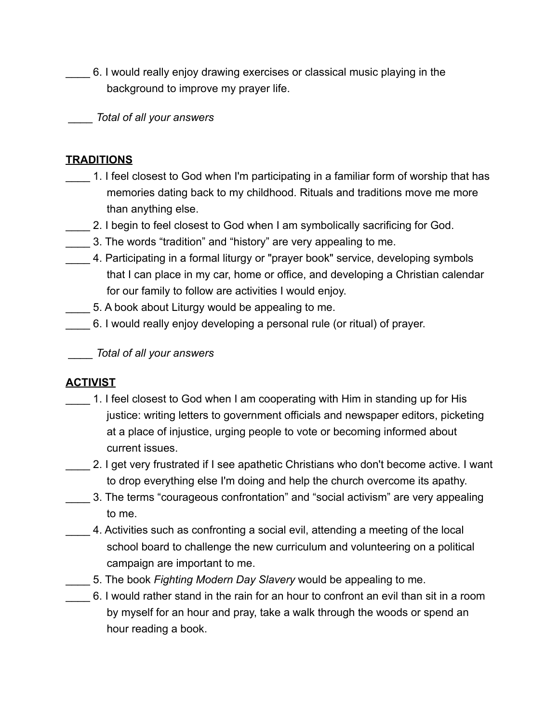\_\_\_\_ 6. I would really enjoy drawing exercises or classical music playing in the background to improve my prayer life.

 *\_\_\_\_ Total of all your answers*

#### **TRADITIONS**

- 1. I feel closest to God when I'm participating in a familiar form of worship that has memories dating back to my childhood. Rituals and traditions move me more than anything else.
- 2. I begin to feel closest to God when I am symbolically sacrificing for God.
- \_\_\_\_ 3. The words "tradition" and "history" are very appealing to me.
- \_\_\_\_ 4. Participating in a formal liturgy or "prayer book" service, developing symbols that I can place in my car, home or office, and developing a Christian calendar for our family to follow are activities I would enjoy.
- \_\_\_\_ 5. A book about Liturgy would be appealing to me.
- \_\_\_\_ 6. I would really enjoy developing a personal rule (or ritual) of prayer.

 *\_\_\_\_ Total of all your answers*

# **ACTIVIST**

- 1. I feel closest to God when I am cooperating with Him in standing up for His justice: writing letters to government officials and newspaper editors, picketing at a place of injustice, urging people to vote or becoming informed about current issues.
- \_\_\_\_ 2. I get very frustrated if I see apathetic Christians who don't become active. I want to drop everything else I'm doing and help the church overcome its apathy.
- \_\_\_\_ 3. The terms "courageous confrontation" and "social activism" are very appealing to me.
- \_\_\_\_ 4. Activities such as confronting a social evil, attending a meeting of the local school board to challenge the new curriculum and volunteering on a political campaign are important to me.
- \_\_\_\_ 5. The book *Fighting Modern Day Slavery* would be appealing to me.
- \_\_\_\_ 6. I would rather stand in the rain for an hour to confront an evil than sit in a room by myself for an hour and pray, take a walk through the woods or spend an hour reading a book.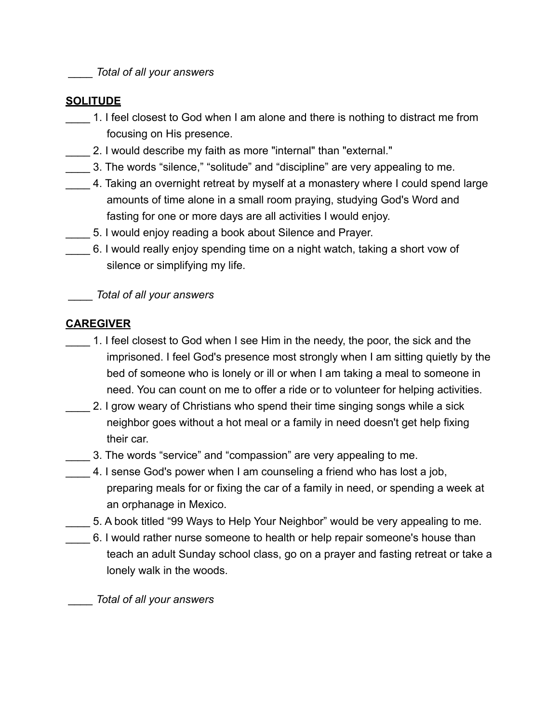*\_\_\_\_ Total of all your answers*

## **SOLITUDE**

- 1. I feel closest to God when I am alone and there is nothing to distract me from focusing on His presence.
- \_\_\_\_ 2. I would describe my faith as more "internal" than "external."
- \_\_\_\_ 3. The words "silence," "solitude" and "discipline" are very appealing to me.
- 1. Taking an overnight retreat by myself at a monastery where I could spend large amounts of time alone in a small room praying, studying God's Word and fasting for one or more days are all activities I would enjoy.
- 5. I would enjoy reading a book about Silence and Prayer.
- \_\_\_\_ 6. I would really enjoy spending time on a night watch, taking a short vow of silence or simplifying my life.

 *\_\_\_\_ Total of all your answers*

## **CAREGIVER**

- \_\_\_\_ 1. I feel closest to God when I see Him in the needy, the poor, the sick and the imprisoned. I feel God's presence most strongly when I am sitting quietly by the bed of someone who is lonely or ill or when I am taking a meal to someone in need. You can count on me to offer a ride or to volunteer for helping activities.
- 1. 2. I grow weary of Christians who spend their time singing songs while a sick neighbor goes without a hot meal or a family in need doesn't get help fixing their car.
- \_\_\_\_ 3. The words "service" and "compassion" are very appealing to me.
- 4. I sense God's power when I am counseling a friend who has lost a job, preparing meals for or fixing the car of a family in need, or spending a week at an orphanage in Mexico.
	- \_\_\_\_ 5. A book titled "99 Ways to Help Your Neighbor" would be very appealing to me.
- \_\_\_\_ 6. I would rather nurse someone to health or help repair someone's house than teach an adult Sunday school class, go on a prayer and fasting retreat or take a lonely walk in the woods.

 *\_\_\_\_ Total of all your answers*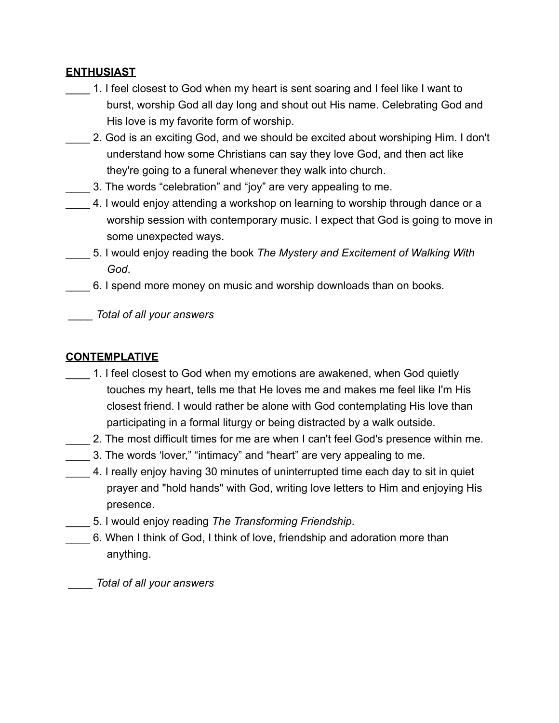## **ENTHUSIAST**

- \_\_\_\_ 1. I feel closest to God when my heart is sent soaring and I feel like I want to burst, worship God all day long and shout out His name. Celebrating God and His love is my favorite form of worship.
- 2. God is an exciting God, and we should be excited about worshiping Him. I don't understand how some Christians can say they love God, and then act like they're going to a funeral whenever they walk into church.
- 13. The words "celebration" and "joy" are very appealing to me.
- 4. I would enjoy attending a workshop on learning to worship through dance or a worship session with contemporary music. I expect that God is going to move in some unexpected ways.
- \_\_\_\_ 5. I would enjoy reading the book *The Mystery and Excitement of Walking With God*.
- \_\_\_\_ 6. I spend more money on music and worship downloads than on books.

 *\_\_\_\_ Total of all your answers*

## **CONTEMPLATIVE**

- 1. I feel closest to God when my emotions are awakened, when God quietly touches my heart, tells me that He loves me and makes me feel like I'm His closest friend. I would rather be alone with God contemplating His love than participating in a formal liturgy or being distracted by a walk outside.
- \_\_\_\_ 2. The most difficult times for me are when I can't feel God's presence within me.
- \_\_\_\_ 3. The words 'lover," "intimacy" and "heart" are very appealing to me.
- \_\_\_\_ 4. I really enjoy having 30 minutes of uninterrupted time each day to sit in quiet prayer and "hold hands" with God, writing love letters to Him and enjoying His presence.
	- \_\_\_\_ 5. I would enjoy reading *The Transforming Friendship*.
- \_\_\_\_ 6. When I think of God, I think of love, friendship and adoration more than anything.

 *\_\_\_\_ Total of all your answers*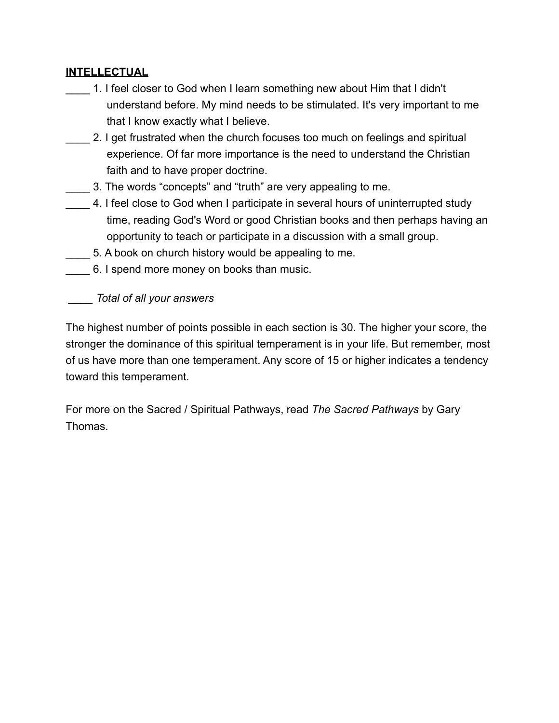#### **INTELLECTUAL**

1. I feel closer to God when I learn something new about Him that I didn't understand before. My mind needs to be stimulated. It's very important to me that I know exactly what I believe.

\_\_\_\_ 2. I get frustrated when the church focuses too much on feelings and spiritual experience. Of far more importance is the need to understand the Christian faith and to have proper doctrine.

- \_\_\_\_ 3. The words "concepts" and "truth" are very appealing to me.
- 4. I feel close to God when I participate in several hours of uninterrupted study time, reading God's Word or good Christian books and then perhaps having an opportunity to teach or participate in a discussion with a small group.
- \_\_\_\_ 5. A book on church history would be appealing to me.
- \_\_\_\_ 6. I spend more money on books than music.

 *\_\_\_\_ Total of all your answers*

The highest number of points possible in each section is 30. The higher your score, the stronger the dominance of this spiritual temperament is in your life. But remember, most of us have more than one temperament. Any score of 15 or higher indicates a tendency toward this temperament.

For more on the Sacred / Spiritual Pathways, read *The Sacred Pathways* by Gary Thomas.